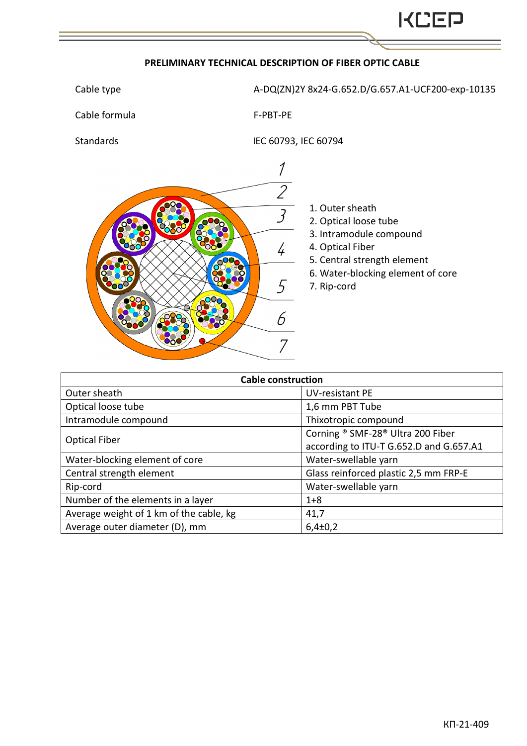## **PRELIMINARY TECHNICAL DESCRIPTION OF FIBER OPTIC CABLE**

Cable type  $A-DQ(ZN)$ 2Y 8x24-G.652.D/G.657.A1-UCF200-exp-10135

Cable formula F-PBT-PE

Standards IEC 60793, IEC 60794



- 1. Outer sheath
- 2. Optical loose tube
- 3. Intramodule compound
- 4. Optical Fiber
- 5. Central strength element
- 6. Water-blocking element of core
- 7. Rip-cord

| <b>Cable construction</b>               |                                         |  |  |  |  |  |
|-----------------------------------------|-----------------------------------------|--|--|--|--|--|
| Outer sheath                            | <b>UV-resistant PE</b>                  |  |  |  |  |  |
| Optical loose tube                      | 1,6 mm PBT Tube                         |  |  |  |  |  |
| Intramodule compound                    | Thixotropic compound                    |  |  |  |  |  |
| <b>Optical Fiber</b>                    | Corning ® SMF-28® Ultra 200 Fiber       |  |  |  |  |  |
|                                         | according to ITU-T G.652.D and G.657.A1 |  |  |  |  |  |
| Water-blocking element of core          | Water-swellable yarn                    |  |  |  |  |  |
| Central strength element                | Glass reinforced plastic 2,5 mm FRP-E   |  |  |  |  |  |
| Rip-cord                                | Water-swellable yarn                    |  |  |  |  |  |
| Number of the elements in a layer       | $1 + 8$                                 |  |  |  |  |  |
| Average weight of 1 km of the cable, kg | 41,7                                    |  |  |  |  |  |
| Average outer diameter (D), mm          | $6,4\pm0,2$                             |  |  |  |  |  |